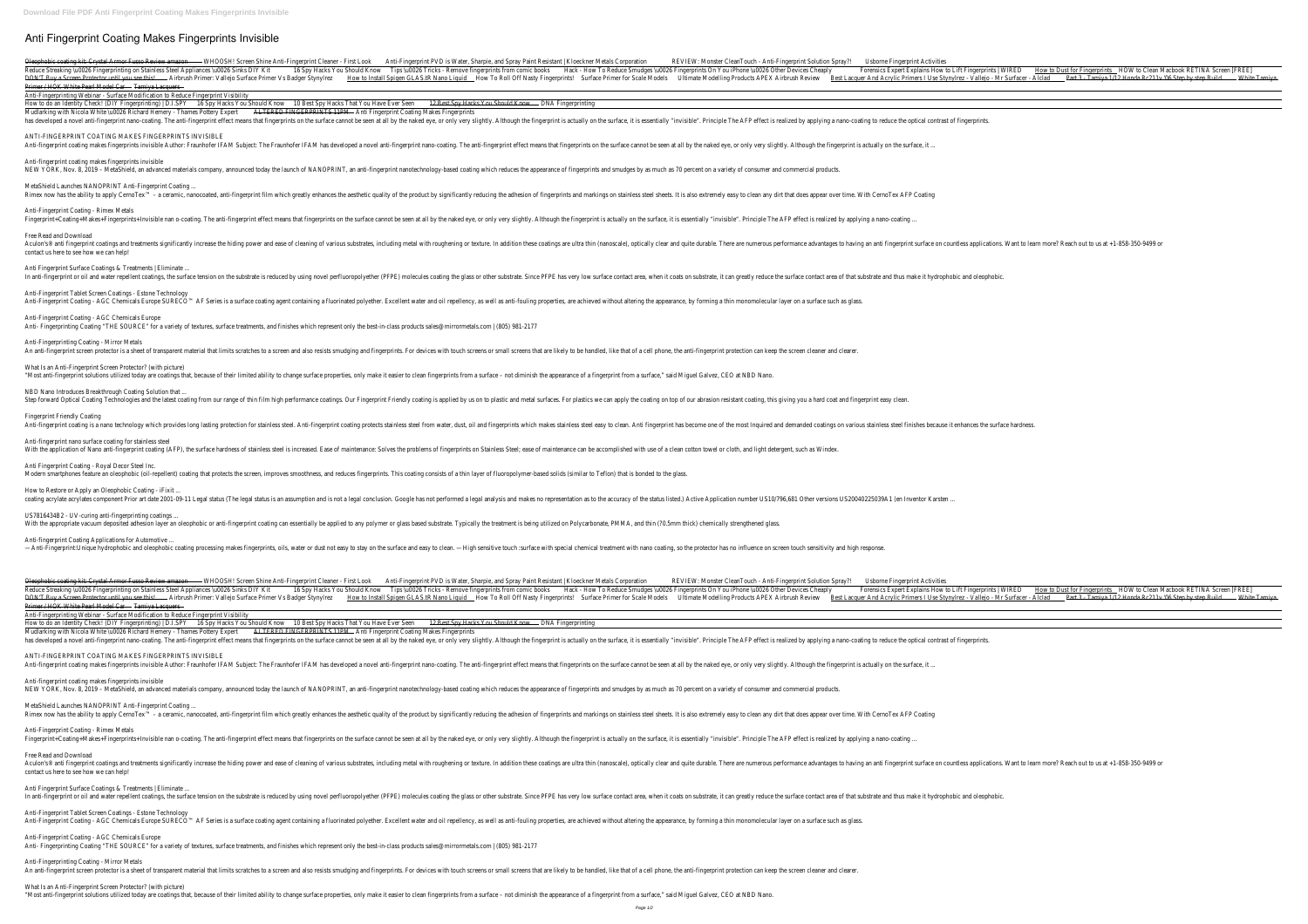# **Anti Fingerprint Coating Makes Fingerprints Invisible**

WHOOSH! Screen Shine Anti-Fingerprint Cleaner - First Look Anti-Fingerprint Cleaner - First Look Anti-Fingerprint PVD is Water, Sharpie, and Spray Paint Resistant | Kloeckner Metals Corporation REVIEW: Monster CleanTouch -Forensics Expert Explains How Tips \u0026 Fingerprinting on Stainless Steel Appliances \u0026 Sinks DIY Kit 16 Spy Hacks You Should Know Tips \u0026 Tricks - Remove fingerprints On You iPhone \u0026 Other Devices Cheaply F BON'T Buy a Screen Protector until you see this! Airbrush Primer: Vallejo Surface Primer Vs Badger Stynylrez How to Install Spigen GLAS.tR Nano Liquid How To Roll Off Nasty Fingerprints! Surface Primers I Use Stynylrez - V Primer / HOK White Pearl Model Car - Tamiya Lacquers -

Anti-fingerprint coating makes fingerprints invisible NEW YORK, Nov. 8, 2019 - MetaShield, an advanced materials company, announced today the launch of NANOPRINT, an anti-fingerprint nanotechnology-based coating which reduces the appearance of fingerprints and smudges by as m

Anti-Fingerprinting Webinar - Surface Modification to Reduce Fingerprint Visibility

How to do an Identity Check! (DIY Fingerprinting) | D.I.SPY 16 Spy Hacks You Should Know 10 Best Spy Hacks That You Have Ever Seen 12 Best Spy Hacks You Should Know DNA Fingerprinting Mudlarking with Nicola White \u0026 Richard Hemery - Thames Pottery Expert ALTERED FINGERPRINTS 11PM - Anti Fingerprint Coating Makes Fingerprints has developed a novel anti-fingerprint nano-coating. The anti-fingerprint effect means that fingerprint effect means that fingerprints on the surface cannot be seen at all by the naked eye, or only very slightly. Although

ANTI-FINGERPRINT COATING MAKES FINGERPRINTS INVISIBLE

Anti-fingerprint coating makes fingerprints invisible Author: Fraunhofer IFAM Subject: The Fraunhofer IFAM Subject: The Fraunhofer IFAM has developed a novel anti-fingerprint nano-coating. The anti-fingerprints on the surf

Anti-Fingerprint Coating - AGC Chemicals Europe Anti- Fingerprinting Coating "THE SOURCE" for a variety of textures, surface treatments, and finishes which represent only the best-in-class products sales@mirrormetals.com | (805) 981-2177

Anti-Fingerprinting Coating - Mirror Metals An anti-fingerprint screen protector is a sheet of transparent material that limits scratches to a screen and also resists smudging and fingerprints. For devices with touch screens or small screens that are likely to be ha

What Is an Anti-Fingerprint Screen Protector? (with picture) "Most anti-fingerprint solutions utilized today are coatings that, because of their limited ability to change surface properties, only make it easier to clean fingerprints from a surface - not diminish the appearance of a

### MetaShield Launches NANOPRINT Anti-Fingerprint Coating ...

Step forward Optical Coating Technologies and the latest coating from our range of thin film high performance coatings. Our Fingerprint Friendly coating is applied by us on to plastic and metal surfaces. For plastics we ca Fingerprint Friendly Coating

Anti-fingerprint coating is a nano technology which provides long lasting protection for stainless steel. Anti-fingerprint coating protects stainless steel from water, dust, oil and fingerprints which makes stainless steel

### Anti-Fingerprint Coating - Rimex Metals

Fingerprint+Coating+Makes+Fingerprints+Invisible nan o-coating. The anti-fingerprint effect means that fingerprints on the surface cannot be seen at all by the naked eye, or only very slightly. Although the fingerprint is

Anti-fingerprint nano surface coating for stainless steel With the application of Nano anti-fingerprint coating (AFP), the surface hardness of stainless steel is increased. Ease of maintenance: Solves the problems of fingerprints on Stainless Steel; ease of maintenance can be acc

Anti Fingerprint Coating - Royal Decor Steel Inc. Modern smartphones feature an oleophobic (oil-repellent) coating that protects the screen, improves smoothness, and reduces fingerprints. This coating consists of a thin layer of fluoropolymer-based solids (similar to Tefl

How to Restore or Apply an Oleophobic Coating - iFixit

coating acrylate acrylates component Prior art date 2001-09-11 Legal status (The legal status (The legal status is an assumption and is not a legal conclusion. Google has not performed a legal analysis and makes no represe

Free Read and Download Aculon's® anti fingerprint coatings and treatments significantly increase the hiding power and ease of cleaning of various substrates, including metal with roughening or texture. In addition these coatings are ultra thin ( contact us here to see how we can help!

Anti Fingerprint Surface Coatings & Treatments | Eliminate .

In anti-fingerprint or oil and water repellent coatings, the surface tension on the substrate is reduced by using novel perfluoropolyether (PFPE) molecules coating the glass or other substrate, it can greatly reduce the su

Anti-Fingerprint Coating - AGC Chemicals Europe SURECO™ AF Series is a surface coating agent containing a fluorinated polyether. Excellent water and oil repellency, as well as anti-fouling properties, are achieved without

US7816434B2 - UV-curing anti-fingerprinting coatings ... With the appropriate vacuum deposited adhesion layer an oleophobic or anti-fingerprint coating can essentially be applied to any polymer or glass based substrate. Typically the treatment is being utilized on Polycarbonate,

Anti-Fingerprint Tablet Screen Coatings - Estone Technology

scramic, nanocoated, anti-fingerprint film which greatly of the product by significantly reducing the adhesion of fingerprints and markings on stainless steel sheets. It is also extremely easy to clean any dirt that does

ANTI-FINGERPRINT COATING MAKES FINGERPRINTS INVISIBLE Anti-fingerprint coating makes fingerprints invisible Author: Fraunhofer IFAM Subject: The Fraunhofer IFAM Subject: The Fraunhofer IFAM has developed a novel anti-fingerprint nano-coating. The anti-fingerprints on the surf

NBD Nano Introduces Breakthrough Coating Solution that ...

Anti-Fingerprint Tablet Screen Coatings - Estone Technology Anti-Fingerprint Coating - AGC Chemicals Europe SURECO™ AF Series is a surface coating agent containing a fluorinated polyether. Excellent water and oil repellency, as well as anti-fouling properties, are achieved without

What Is an Anti-Fingerprint Screen Protector? (with picture) "Most anti-fingerprint solutions utilized today are coatings that, because of their limited ability to change surface properties, only make it easier to clean fingerprints from a surface - not diminish the appearance of a

Anti-fingerprint Coating Applications for Automotive ...

—Anti-Fingerprint:Unique hydrophobic and oleophobic coating processing makes fingerprints, oils, water or dust not easy to stay on the surface and easy to stay on the surface and easy to clean. — High sensitive touch surfa

Oleophobic coating kit: Crystal Armor Fusso Review amazon -- WHOOSH! Screen Shine Anti-Fingerprint Cleaner - First Look Anti-Fingerprint PVD is Water, Sharpie, and Spray Paint Resistant | Kloeckner Metals Corporation REVIE Forensics Expert Explains How To Reduce Strume on Stainless Steel Appliances \uOO26 Sinks DIY Kit 16 Spy Hacks You Should Know Tips \uOO26 Tricks - Remove fingerprints On You iPhone \uOO26 Other Devices Cheaply Forensics E BON'T Buy a Screen Protector until you see this! Airbrush Primer: Vallejo Surface Primer Vs Badger Stynylrez How to Install Spigen GLAS.tR Nano Liquid How To Roll Off Nasty Fingerprints! Surface Primers I Use Stynylrez - V Primer / HOK White Pearl Model Car - Tamiya Lacquers -

Anti-Fingerprinting Webinar - Surface Modification to Reduce Fingerprint Visibility

How to do an Identity Check! (DIY Fingerprinting) | D.I.SPY 16 Spy Hacks You Should Know 10 Best Spy Hacks That You Have Ever Seen 12 Best Spy Hacks You Should Know - DNA Fingerprinting Mudlarking with Nicola White \u0026 Richard Hemery - Thames Pottery Expert ALTERED FINGERPRINTS 11PM - Anti Fingerprint Coating Makes Fingerprints and a novel anti-fingerprint nano-coating. The anti-fingerprint effect means that fingerprint effect means that fingerprints on the surface cannot be seen at all by the naked eye, or only very slightly. Although the finger

Anti-fingerprint coating makes fingerprints invisible

NEW YORK, Nov. 8, 2019 - MetaShield, an advanced materials company, announced today the launch of NANOPRINT, an anti-fingerprint nanotechnology-based coating which reduces the appearance of fingerprints and smudges by as m

## MetaShield Launches NANOPRINT Anti-Fingerprint Coating ...

Rimex now has the ability to apply CernoTex™ - a ceramic, nanocoated, anti-fingerprint film which greatly enhances the aesthetic quality of the product by significantly reducing the adhesion of fingerprints and markings o

Anti-Fingerprint Coating - Rimex Metals

Fingerprint+Coating+Makes+Fingerprints+Invisible nan o-coating. The anti-fingerprint effect means that fingerprints on the surface cannot be seen at all by the naked eye, or only very slightly. Although the fingerprint is

Free Read and Download anti fingerprint coatings and treatments significantly increase the hiding power and ease of cleaning of various substrates, including metal with roughening or texture. In addition these coatings are ultra thin (nanoscale) contact us here to see how we can help!

### Anti Fingerprint Surface Coatings & Treatments | Eliminate ...

In anti-fingerprint or oil and water repellent coatings, the surface tension on the substrate is reduced by using novel perfluoropolyether (PFPE) molecules coating the glass or other substrate, it can greatly reduce the su

Anti-Fingerprint Coating - AGC Chemicals Europe

Anti- Fingerprinting Coating "THE SOURCE" for a variety of textures, surface treatments, and finishes which represent only the best-in-class products sales@mirrormetals.com | (805) 981-2177

Anti-Fingerprinting Coating - Mirror Metals

An anti-fingerprint screen protector is a sheet of transparent material that limits scratches to a screen and also resists smudging and fingerprints. For devices with touch screens or small screens that are likely to be ha